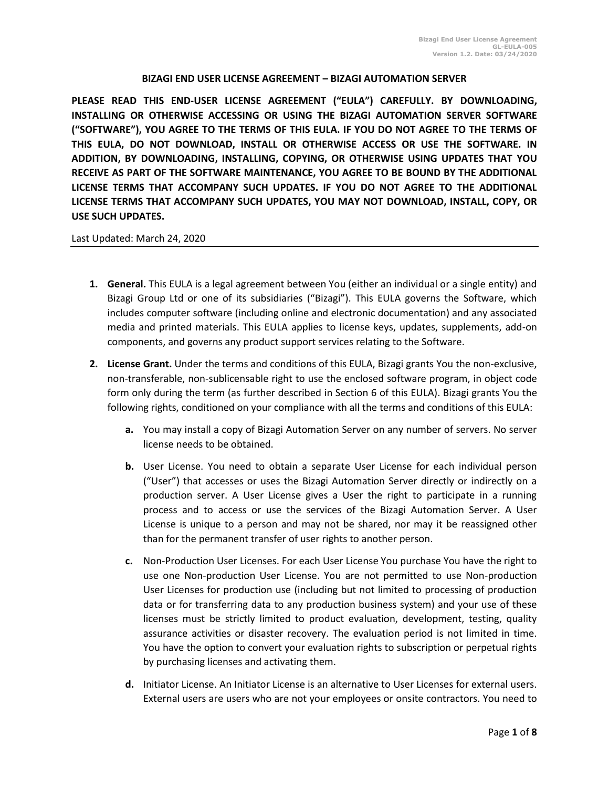## **BIZAGI END USER LICENSE AGREEMENT – BIZAGI AUTOMATION SERVER**

**PLEASE READ THIS END-USER LICENSE AGREEMENT ("EULA") CAREFULLY. BY DOWNLOADING, INSTALLING OR OTHERWISE ACCESSING OR USING THE BIZAGI AUTOMATION SERVER SOFTWARE ("SOFTWARE"), YOU AGREE TO THE TERMS OF THIS EULA. IF YOU DO NOT AGREE TO THE TERMS OF THIS EULA, DO NOT DOWNLOAD, INSTALL OR OTHERWISE ACCESS OR USE THE SOFTWARE. IN ADDITION, BY DOWNLOADING, INSTALLING, COPYING, OR OTHERWISE USING UPDATES THAT YOU RECEIVE AS PART OF THE SOFTWARE MAINTENANCE, YOU AGREE TO BE BOUND BY THE ADDITIONAL LICENSE TERMS THAT ACCOMPANY SUCH UPDATES. IF YOU DO NOT AGREE TO THE ADDITIONAL LICENSE TERMS THAT ACCOMPANY SUCH UPDATES, YOU MAY NOT DOWNLOAD, INSTALL, COPY, OR USE SUCH UPDATES.** 

## Last Updated: March 24, 2020

- **1. General.** This EULA is a legal agreement between You (either an individual or a single entity) and Bizagi Group Ltd or one of its subsidiaries ("Bizagi"). This EULA governs the Software, which includes computer software (including online and electronic documentation) and any associated media and printed materials. This EULA applies to license keys, updates, supplements, add-on components, and governs any product support services relating to the Software.
- **2. License Grant.** Under the terms and conditions of this EULA, Bizagi grants You the non-exclusive, non-transferable, non-sublicensable right to use the enclosed software program, in object code form only during the term (as further described in Section 6 of this EULA). Bizagi grants You the following rights, conditioned on your compliance with all the terms and conditions of this EULA:
	- **a.** You may install a copy of Bizagi Automation Server on any number of servers. No server license needs to be obtained.
	- **b.** User License. You need to obtain a separate User License for each individual person ("User") that accesses or uses the Bizagi Automation Server directly or indirectly on a production server. A User License gives a User the right to participate in a running process and to access or use the services of the Bizagi Automation Server. A User License is unique to a person and may not be shared, nor may it be reassigned other than for the permanent transfer of user rights to another person.
	- **c.** Non-Production User Licenses. For each User License You purchase You have the right to use one Non-production User License. You are not permitted to use Non-production User Licenses for production use (including but not limited to processing of production data or for transferring data to any production business system) and your use of these licenses must be strictly limited to product evaluation, development, testing, quality assurance activities or disaster recovery. The evaluation period is not limited in time. You have the option to convert your evaluation rights to subscription or perpetual rights by purchasing licenses and activating them.
	- **d.** Initiator License. An Initiator License is an alternative to User Licenses for external users. External users are users who are not your employees or onsite contractors. You need to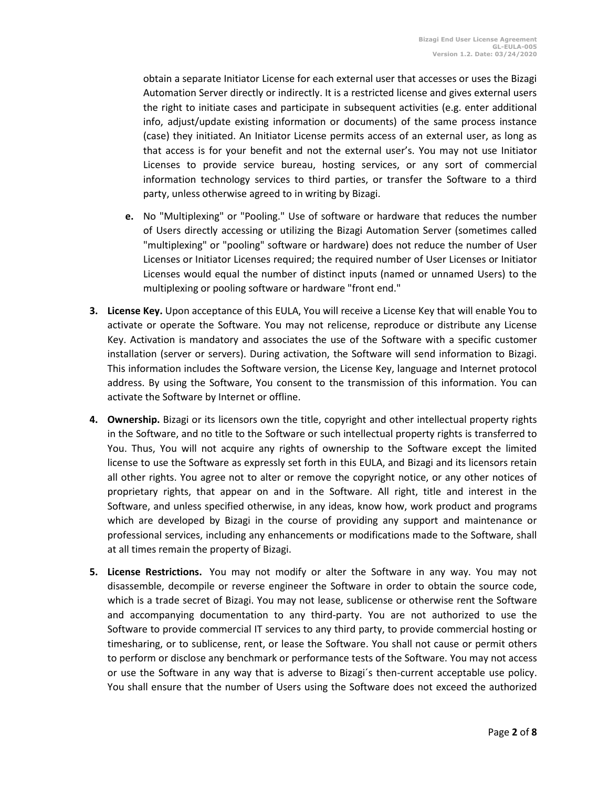obtain a separate Initiator License for each external user that accesses or uses the Bizagi Automation Server directly or indirectly. It is a restricted license and gives external users the right to initiate cases and participate in subsequent activities (e.g. enter additional info, adjust/update existing information or documents) of the same process instance (case) they initiated. An Initiator License permits access of an external user, as long as that access is for your benefit and not the external user's. You may not use Initiator Licenses to provide service bureau, hosting services, or any sort of commercial information technology services to third parties, or transfer the Software to a third party, unless otherwise agreed to in writing by Bizagi.

- **e.** No "Multiplexing" or "Pooling." Use of software or hardware that reduces the number of Users directly accessing or utilizing the Bizagi Automation Server (sometimes called "multiplexing" or "pooling" software or hardware) does not reduce the number of User Licenses or Initiator Licenses required; the required number of User Licenses or Initiator Licenses would equal the number of distinct inputs (named or unnamed Users) to the multiplexing or pooling software or hardware "front end."
- **3. License Key.** Upon acceptance of this EULA, You will receive a License Key that will enable You to activate or operate the Software. You may not relicense, reproduce or distribute any License Key. Activation is mandatory and associates the use of the Software with a specific customer installation (server or servers). During activation, the Software will send information to Bizagi. This information includes the Software version, the License Key, language and Internet protocol address. By using the Software, You consent to the transmission of this information. You can activate the Software by Internet or offline.
- **4. Ownership.** Bizagi or its licensors own the title, copyright and other intellectual property rights in the Software, and no title to the Software or such intellectual property rights is transferred to You. Thus, You will not acquire any rights of ownership to the Software except the limited license to use the Software as expressly set forth in this EULA, and Bizagi and its licensors retain all other rights. You agree not to alter or remove the copyright notice, or any other notices of proprietary rights, that appear on and in the Software. All right, title and interest in the Software, and unless specified otherwise, in any ideas, know how, work product and programs which are developed by Bizagi in the course of providing any support and maintenance or professional services, including any enhancements or modifications made to the Software, shall at all times remain the property of Bizagi.
- **5. License Restrictions.** You may not modify or alter the Software in any way. You may not disassemble, decompile or reverse engineer the Software in order to obtain the source code, which is a trade secret of Bizagi. You may not lease, sublicense or otherwise rent the Software and accompanying documentation to any third-party. You are not authorized to use the Software to provide commercial IT services to any third party, to provide commercial hosting or timesharing, or to sublicense, rent, or lease the Software. You shall not cause or permit others to perform or disclose any benchmark or performance tests of the Software. You may not access or use the Software in any way that is adverse to Bizagi´s then-current acceptable use policy. You shall ensure that the number of Users using the Software does not exceed the authorized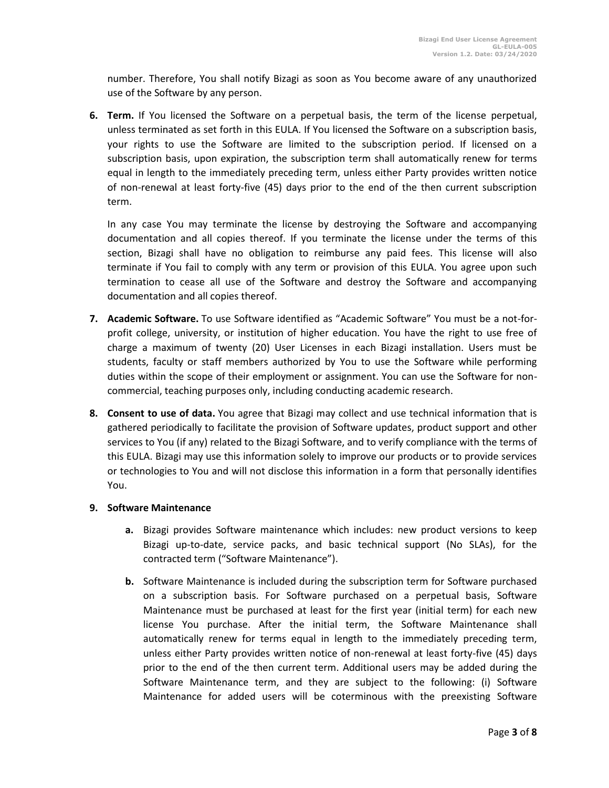number. Therefore, You shall notify Bizagi as soon as You become aware of any unauthorized use of the Software by any person.

**6. Term.** If You licensed the Software on a perpetual basis, the term of the license perpetual, unless terminated as set forth in this EULA. If You licensed the Software on a subscription basis, your rights to use the Software are limited to the subscription period. If licensed on a subscription basis, upon expiration, the subscription term shall automatically renew for terms equal in length to the immediately preceding term, unless either Party provides written notice of non-renewal at least forty-five (45) days prior to the end of the then current subscription term.

In any case You may terminate the license by destroying the Software and accompanying documentation and all copies thereof. If you terminate the license under the terms of this section, Bizagi shall have no obligation to reimburse any paid fees. This license will also terminate if You fail to comply with any term or provision of this EULA. You agree upon such termination to cease all use of the Software and destroy the Software and accompanying documentation and all copies thereof.

- **7. Academic Software.** To use Software identified as "Academic Software" You must be a not-forprofit college, university, or institution of higher education. You have the right to use free of charge a maximum of twenty (20) User Licenses in each Bizagi installation. Users must be students, faculty or staff members authorized by You to use the Software while performing duties within the scope of their employment or assignment. You can use the Software for noncommercial, teaching purposes only, including conducting academic research.
- **8. Consent to use of data.** You agree that Bizagi may collect and use technical information that is gathered periodically to facilitate the provision of Software updates, product support and other services to You (if any) related to the Bizagi Software, and to verify compliance with the terms of this EULA. Bizagi may use this information solely to improve our products or to provide services or technologies to You and will not disclose this information in a form that personally identifies You.

## **9. Software Maintenance**

- **a.** Bizagi provides Software maintenance which includes: new product versions to keep Bizagi up-to-date, service packs, and basic technical support (No SLAs), for the contracted term ("Software Maintenance").
- **b.** Software Maintenance is included during the subscription term for Software purchased on a subscription basis. For Software purchased on a perpetual basis, Software Maintenance must be purchased at least for the first year (initial term) for each new license You purchase. After the initial term, the Software Maintenance shall automatically renew for terms equal in length to the immediately preceding term, unless either Party provides written notice of non-renewal at least forty-five (45) days prior to the end of the then current term. Additional users may be added during the Software Maintenance term, and they are subject to the following: (i) Software Maintenance for added users will be coterminous with the preexisting Software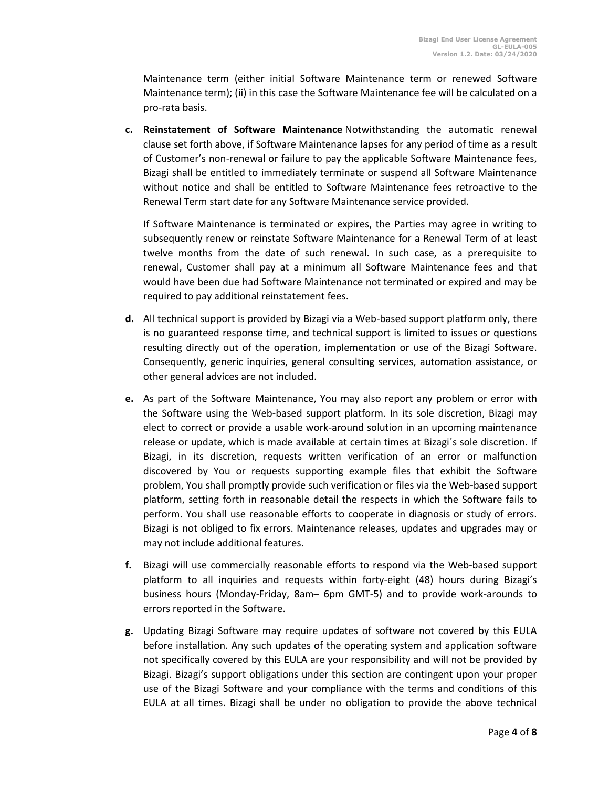Maintenance term (either initial Software Maintenance term or renewed Software Maintenance term); (ii) in this case the Software Maintenance fee will be calculated on a pro-rata basis.

**c. Reinstatement of Software Maintenance** Notwithstanding the automatic renewal clause set forth above, if Software Maintenance lapses for any period of time as a result of Customer's non-renewal or failure to pay the applicable Software Maintenance fees, Bizagi shall be entitled to immediately terminate or suspend all Software Maintenance without notice and shall be entitled to Software Maintenance fees retroactive to the Renewal Term start date for any Software Maintenance service provided.

If Software Maintenance is terminated or expires, the Parties may agree in writing to subsequently renew or reinstate Software Maintenance for a Renewal Term of at least twelve months from the date of such renewal. In such case, as a prerequisite to renewal, Customer shall pay at a minimum all Software Maintenance fees and that would have been due had Software Maintenance not terminated or expired and may be required to pay additional reinstatement fees.

- **d.** All technical support is provided by Bizagi via a Web-based support platform only, there is no guaranteed response time, and technical support is limited to issues or questions resulting directly out of the operation, implementation or use of the Bizagi Software. Consequently, generic inquiries, general consulting services, automation assistance, or other general advices are not included.
- **e.** As part of the Software Maintenance, You may also report any problem or error with the Software using the Web-based support platform. In its sole discretion, Bizagi may elect to correct or provide a usable work-around solution in an upcoming maintenance release or update, which is made available at certain times at Bizagi´s sole discretion. If Bizagi, in its discretion, requests written verification of an error or malfunction discovered by You or requests supporting example files that exhibit the Software problem, You shall promptly provide such verification or files via the Web-based support platform, setting forth in reasonable detail the respects in which the Software fails to perform. You shall use reasonable efforts to cooperate in diagnosis or study of errors. Bizagi is not obliged to fix errors. Maintenance releases, updates and upgrades may or may not include additional features.
- **f.** Bizagi will use commercially reasonable efforts to respond via the Web-based support platform to all inquiries and requests within forty-eight (48) hours during Bizagi's business hours (Monday-Friday, 8am– 6pm GMT-5) and to provide work-arounds to errors reported in the Software.
- **g.** Updating Bizagi Software may require updates of software not covered by this EULA before installation. Any such updates of the operating system and application software not specifically covered by this EULA are your responsibility and will not be provided by Bizagi. Bizagi's support obligations under this section are contingent upon your proper use of the Bizagi Software and your compliance with the terms and conditions of this EULA at all times. Bizagi shall be under no obligation to provide the above technical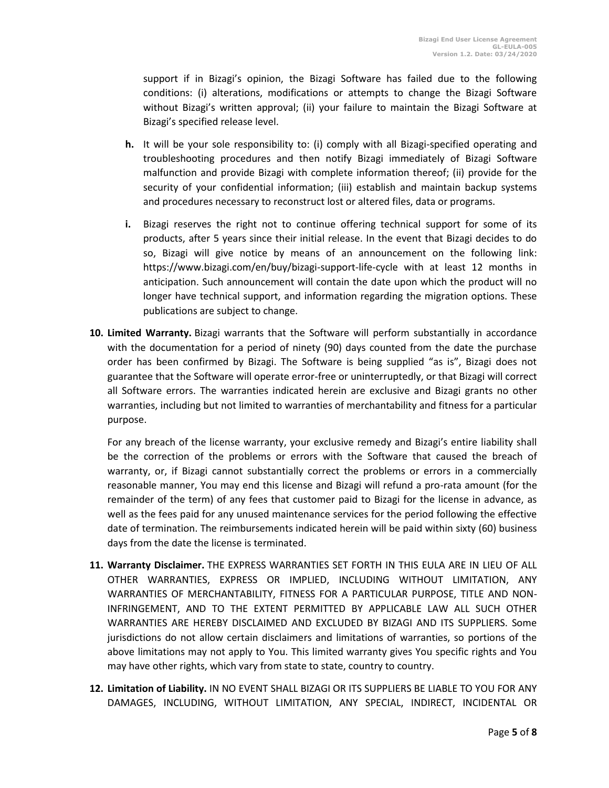support if in Bizagi's opinion, the Bizagi Software has failed due to the following conditions: (i) alterations, modifications or attempts to change the Bizagi Software without Bizagi's written approval; (ii) your failure to maintain the Bizagi Software at Bizagi's specified release level.

- **h.** It will be your sole responsibility to: (i) comply with all Bizagi-specified operating and troubleshooting procedures and then notify Bizagi immediately of Bizagi Software malfunction and provide Bizagi with complete information thereof; (ii) provide for the security of your confidential information; (iii) establish and maintain backup systems and procedures necessary to reconstruct lost or altered files, data or programs.
- **i.** Bizagi reserves the right not to continue offering technical support for some of its products, after 5 years since their initial release. In the event that Bizagi decides to do so, Bizagi will give notice by means of an announcement on the following link: https://www.bizagi.com/en/buy/bizagi-support-life-cycle with at least 12 months in anticipation. Such announcement will contain the date upon which the product will no longer have technical support, and information regarding the migration options. These publications are subject to change.
- **10. Limited Warranty.** Bizagi warrants that the Software will perform substantially in accordance with the documentation for a period of ninety (90) days counted from the date the purchase order has been confirmed by Bizagi. The Software is being supplied "as is", Bizagi does not guarantee that the Software will operate error-free or uninterruptedly, or that Bizagi will correct all Software errors. The warranties indicated herein are exclusive and Bizagi grants no other warranties, including but not limited to warranties of merchantability and fitness for a particular purpose.

For any breach of the license warranty, your exclusive remedy and Bizagi's entire liability shall be the correction of the problems or errors with the Software that caused the breach of warranty, or, if Bizagi cannot substantially correct the problems or errors in a commercially reasonable manner, You may end this license and Bizagi will refund a pro-rata amount (for the remainder of the term) of any fees that customer paid to Bizagi for the license in advance, as well as the fees paid for any unused maintenance services for the period following the effective date of termination. The reimbursements indicated herein will be paid within sixty (60) business days from the date the license is terminated.

- **11. Warranty Disclaimer.** THE EXPRESS WARRANTIES SET FORTH IN THIS EULA ARE IN LIEU OF ALL OTHER WARRANTIES, EXPRESS OR IMPLIED, INCLUDING WITHOUT LIMITATION, ANY WARRANTIES OF MERCHANTABILITY, FITNESS FOR A PARTICULAR PURPOSE, TITLE AND NON-INFRINGEMENT, AND TO THE EXTENT PERMITTED BY APPLICABLE LAW ALL SUCH OTHER WARRANTIES ARE HEREBY DISCLAIMED AND EXCLUDED BY BIZAGI AND ITS SUPPLIERS. Some jurisdictions do not allow certain disclaimers and limitations of warranties, so portions of the above limitations may not apply to You. This limited warranty gives You specific rights and You may have other rights, which vary from state to state, country to country.
- **12. Limitation of Liability.** IN NO EVENT SHALL BIZAGI OR ITS SUPPLIERS BE LIABLE TO YOU FOR ANY DAMAGES, INCLUDING, WITHOUT LIMITATION, ANY SPECIAL, INDIRECT, INCIDENTAL OR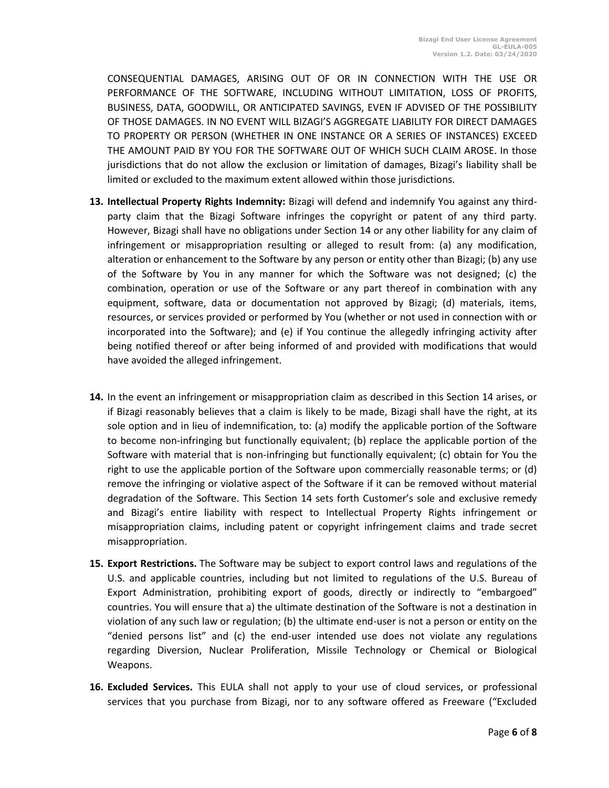CONSEQUENTIAL DAMAGES, ARISING OUT OF OR IN CONNECTION WITH THE USE OR PERFORMANCE OF THE SOFTWARE, INCLUDING WITHOUT LIMITATION, LOSS OF PROFITS, BUSINESS, DATA, GOODWILL, OR ANTICIPATED SAVINGS, EVEN IF ADVISED OF THE POSSIBILITY OF THOSE DAMAGES. IN NO EVENT WILL BIZAGI'S AGGREGATE LIABILITY FOR DIRECT DAMAGES TO PROPERTY OR PERSON (WHETHER IN ONE INSTANCE OR A SERIES OF INSTANCES) EXCEED THE AMOUNT PAID BY YOU FOR THE SOFTWARE OUT OF WHICH SUCH CLAIM AROSE. In those jurisdictions that do not allow the exclusion or limitation of damages, Bizagi's liability shall be limited or excluded to the maximum extent allowed within those jurisdictions.

- **13. Intellectual Property Rights Indemnity:** Bizagi will defend and indemnify You against any thirdparty claim that the Bizagi Software infringes the copyright or patent of any third party. However, Bizagi shall have no obligations under Section 14 or any other liability for any claim of infringement or misappropriation resulting or alleged to result from: (a) any modification, alteration or enhancement to the Software by any person or entity other than Bizagi; (b) any use of the Software by You in any manner for which the Software was not designed; (c) the combination, operation or use of the Software or any part thereof in combination with any equipment, software, data or documentation not approved by Bizagi; (d) materials, items, resources, or services provided or performed by You (whether or not used in connection with or incorporated into the Software); and (e) if You continue the allegedly infringing activity after being notified thereof or after being informed of and provided with modifications that would have avoided the alleged infringement.
- **14.** In the event an infringement or misappropriation claim as described in this Section 14 arises, or if Bizagi reasonably believes that a claim is likely to be made, Bizagi shall have the right, at its sole option and in lieu of indemnification, to: (a) modify the applicable portion of the Software to become non-infringing but functionally equivalent; (b) replace the applicable portion of the Software with material that is non-infringing but functionally equivalent; (c) obtain for You the right to use the applicable portion of the Software upon commercially reasonable terms; or (d) remove the infringing or violative aspect of the Software if it can be removed without material degradation of the Software. This Section 14 sets forth Customer's sole and exclusive remedy and Bizagi's entire liability with respect to Intellectual Property Rights infringement or misappropriation claims, including patent or copyright infringement claims and trade secret misappropriation.
- **15. Export Restrictions.** The Software may be subject to export control laws and regulations of the U.S. and applicable countries, including but not limited to regulations of the U.S. Bureau of Export Administration, prohibiting export of goods, directly or indirectly to "embargoed" countries. You will ensure that a) the ultimate destination of the Software is not a destination in violation of any such law or regulation; (b) the ultimate end-user is not a person or entity on the "denied persons list" and (c) the end-user intended use does not violate any regulations regarding Diversion, Nuclear Proliferation, Missile Technology or Chemical or Biological Weapons.
- **16. Excluded Services.** This EULA shall not apply to your use of cloud services, or professional services that you purchase from Bizagi, nor to any software offered as Freeware ("Excluded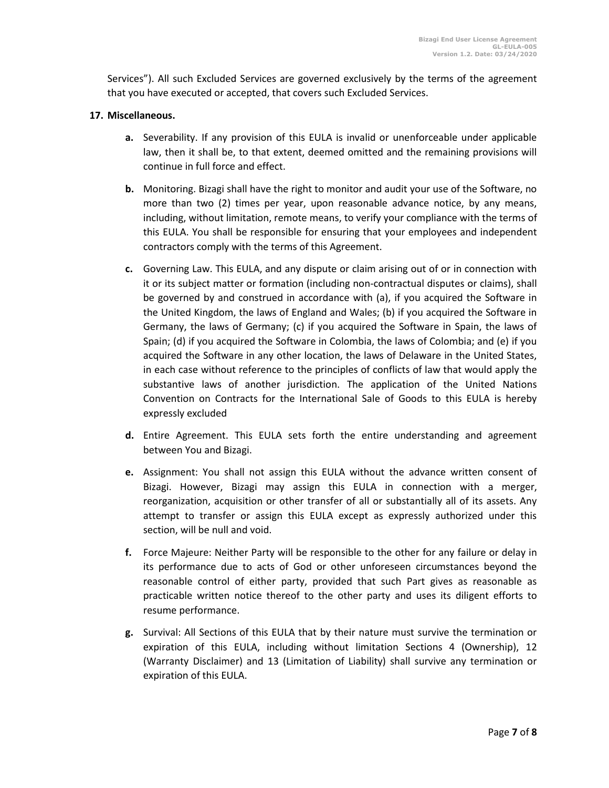Services"). All such Excluded Services are governed exclusively by the terms of the agreement that you have executed or accepted, that covers such Excluded Services.

## **17. Miscellaneous.**

- **a.** Severability. If any provision of this EULA is invalid or unenforceable under applicable law, then it shall be, to that extent, deemed omitted and the remaining provisions will continue in full force and effect.
- **b.** Monitoring. Bizagi shall have the right to monitor and audit your use of the Software, no more than two (2) times per year, upon reasonable advance notice, by any means, including, without limitation, remote means, to verify your compliance with the terms of this EULA. You shall be responsible for ensuring that your employees and independent contractors comply with the terms of this Agreement.
- **c.** Governing Law. This EULA, and any dispute or claim arising out of or in connection with it or its subject matter or formation (including non-contractual disputes or claims), shall be governed by and construed in accordance with (a), if you acquired the Software in the United Kingdom, the laws of England and Wales; (b) if you acquired the Software in Germany, the laws of Germany; (c) if you acquired the Software in Spain, the laws of Spain; (d) if you acquired the Software in Colombia, the laws of Colombia; and (e) if you acquired the Software in any other location, the laws of Delaware in the United States, in each case without reference to the principles of conflicts of law that would apply the substantive laws of another jurisdiction. The application of the United Nations Convention on Contracts for the International Sale of Goods to this EULA is hereby expressly excluded
- **d.** Entire Agreement. This EULA sets forth the entire understanding and agreement between You and Bizagi.
- **e.** Assignment: You shall not assign this EULA without the advance written consent of Bizagi. However, Bizagi may assign this EULA in connection with a merger, reorganization, acquisition or other transfer of all or substantially all of its assets. Any attempt to transfer or assign this EULA except as expressly authorized under this section, will be null and void.
- **f.** Force Majeure: Neither Party will be responsible to the other for any failure or delay in its performance due to acts of God or other unforeseen circumstances beyond the reasonable control of either party, provided that such Part gives as reasonable as practicable written notice thereof to the other party and uses its diligent efforts to resume performance.
- **g.** Survival: All Sections of this EULA that by their nature must survive the termination or expiration of this EULA, including without limitation Sections 4 (Ownership), 12 (Warranty Disclaimer) and 13 (Limitation of Liability) shall survive any termination or expiration of this EULA.